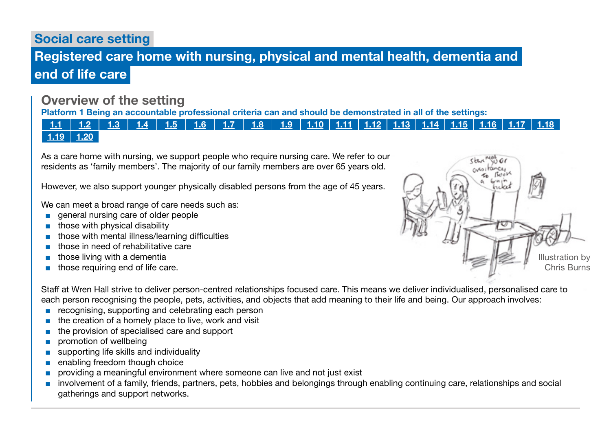# Social care setting

# Registered care home with nursing, physical and mental health, dementia and end of life care

# Overview of the setting

Platform 1 Being an accountable professional criteria can and should be demonstrated in all of the settings:

[1.1](https://www.skillsforcare.org.uk/Documents/Learning-and-development/Regulated-professionals/Registered-nurses/Future-nursing-proficiencies/future-nurse-proficiencies.pdf#page=8) | [1.2](https://www.skillsforcare.org.uk/Documents/Learning-and-development/Regulated-professionals/Registered-nurses/Future-nursing-proficiencies/future-nurse-proficiencies.pdf#page=8) | [1.3](https://www.skillsforcare.org.uk/Documents/Learning-and-development/Regulated-professionals/Registered-nurses/Future-nursing-proficiencies/future-nurse-proficiencies.pdf#page=8) | [1.4](https://www.skillsforcare.org.uk/Documents/Learning-and-development/Regulated-professionals/Registered-nurses/Future-nursing-proficiencies/future-nurse-proficiencies.pdf#page=8) | [1.5](https://www.skillsforcare.org.uk/Documents/Learning-and-development/Regulated-professionals/Registered-nurses/Future-nursing-proficiencies/future-nurse-proficiencies.pdf#page=8) | [1.6](https://www.skillsforcare.org.uk/Documents/Learning-and-development/Regulated-professionals/Registered-nurses/Future-nursing-proficiencies/future-nurse-proficiencies.pdf#page=8) | [1.7](https://www.skillsforcare.org.uk/Documents/Learning-and-development/Regulated-professionals/Registered-nurses/Future-nursing-proficiencies/future-nurse-proficiencies.pdf#page=8) | [1.8](https://www.skillsforcare.org.uk/Documents/Learning-and-development/Regulated-professionals/Registered-nurses/Future-nursing-proficiencies/future-nurse-proficiencies.pdf#page=8) | [1.9](https://www.skillsforcare.org.uk/Documents/Learning-and-development/Regulated-professionals/Registered-nurses/Future-nursing-proficiencies/future-nurse-proficiencies.pdf#page=8) | [1.10](https://www.skillsforcare.org.uk/Documents/Learning-and-development/Regulated-professionals/Registered-nurses/Future-nursing-proficiencies/future-nurse-proficiencies.pdf#page=9) | [1.11](https://www.skillsforcare.org.uk/Documents/Learning-and-development/Regulated-professionals/Registered-nurses/Future-nursing-proficiencies/future-nurse-proficiencies.pdf#page=9) | [1.12](https://www.skillsforcare.org.uk/Documents/Learning-and-development/Regulated-professionals/Registered-nurses/Future-nursing-proficiencies/future-nurse-proficiencies.pdf#page=9) | [1.13](https://www.skillsforcare.org.uk/Documents/Learning-and-development/Regulated-professionals/Registered-nurses/Future-nursing-proficiencies/future-nurse-proficiencies.pdf#page=9) | [1.14](https://www.skillsforcare.org.uk/Documents/Learning-and-development/Regulated-professionals/Registered-nurses/Future-nursing-proficiencies/future-nurse-proficiencies.pdf#page=9) | [1.15](https://www.skillsforcare.org.uk/Documents/Learning-and-development/Regulated-professionals/Registered-nurses/Future-nursing-proficiencies/future-nurse-proficiencies.pdf#page=9) | [1.16](https://www.skillsforcare.org.uk/Documents/Learning-and-development/Regulated-professionals/Registered-nurses/Future-nursing-proficiencies/future-nurse-proficiencies.pdf#page=9) | [1.17](https://www.skillsforcare.org.uk/Documents/Learning-and-development/Regulated-professionals/Registered-nurses/Future-nursing-proficiencies/future-nurse-proficiencies.pdf#page=9) | [1.18](https://www.skillsforcare.org.uk/Documents/Learning-and-development/Regulated-professionals/Registered-nurses/Future-nursing-proficiencies/future-nurse-proficiencies.pdf#page=9)  $1.19$  [1.20](https://www.skillsforcare.org.uk/Documents/Learning-and-development/Regulated-professionals/Registered-nurses/Future-nursing-proficiencies/future-nurse-proficiencies.pdf#page=9)

As a care home with nursing, we support people who require nursing care. We refer to our residents as 'family members'. The majority of our family members are over 65 years old.

However, we also support younger physically disabled persons from the age of 45 years.

We can meet a broad range of care needs such as:

- general nursing care of older people
- those with physical disability
- those with mental illness/learning difficulties
- those in need of rehabilitative care
- those living with a dementia
- those requiring end of life care.



Staff at Wren Hall strive to deliver person-centred relationships focused care. This means we deliver individualised, personalised care to each person recognising the people, pets, activities, and objects that add meaning to their life and being. Our approach involves:

- recognising, supporting and celebrating each person
- the creation of a homely place to live, work and visit
- the provision of specialised care and support
- promotion of wellbeing
- supporting life skills and individuality
- enabling freedom though choice
- providing a meaningful environment where someone can live and not just exist
- involvement of a family, friends, partners, pets, hobbies and belongings through enabling continuing care, relationships and social gatherings and support networks.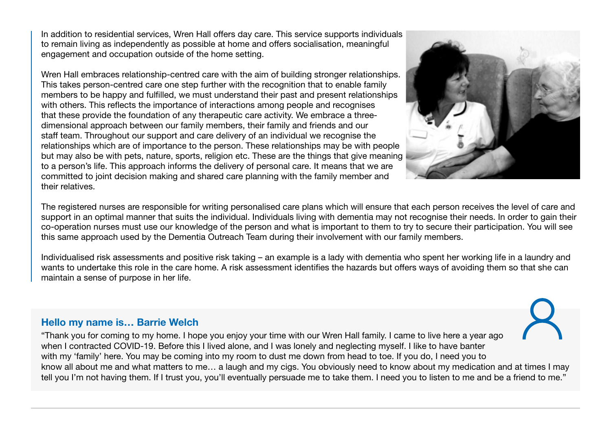In addition to residential services, Wren Hall offers day care. This service supports individuals to remain living as independently as possible at home and offers socialisation, meaningful engagement and occupation outside of the home setting.

Wren Hall embraces relationship-centred care with the aim of building stronger relationships. This takes person-centred care one step further with the recognition that to enable family members to be happy and fulfilled, we must understand their past and present relationships with others. This reflects the importance of interactions among people and recognises that these provide the foundation of any therapeutic care activity. We embrace a threedimensional approach between our family members, their family and friends and our staff team. Throughout our support and care delivery of an individual we recognise the relationships which are of importance to the person. These relationships may be with people but may also be with pets, nature, sports, religion etc. These are the things that give meaning to a person's life. This approach informs the delivery of personal care. It means that we are committed to joint decision making and shared care planning with the family member and their relatives.



The registered nurses are responsible for writing personalised care plans which will ensure that each person receives the level of care and support in an optimal manner that suits the individual. Individuals living with dementia may not recognise their needs. In order to gain their co-operation nurses must use our knowledge of the person and what is important to them to try to secure their participation. You will see this same approach used by the Dementia Outreach Team during their involvement with our family members.

Individualised risk assessments and positive risk taking – an example is a lady with dementia who spent her working life in a laundry and wants to undertake this role in the care home. A risk assessment identifies the hazards but offers ways of avoiding them so that she can maintain a sense of purpose in her life.

### Hello my name is… Barrie Welch

"Thank you for coming to my home. I hope you enjoy your time with our Wren Hall family. I came to live here a year ago when I contracted COVID-19. Before this I lived alone, and I was lonely and neglecting myself. I like to have banter with my 'family' here. You may be coming into my room to dust me down from head to toe. If you do, I need you to know all about me and what matters to me… a laugh and my cigs. You obviously need to know about my medication and at times I may tell you I'm not having them. If I trust you, you'll eventually persuade me to take them. I need you to listen to me and be a friend to me."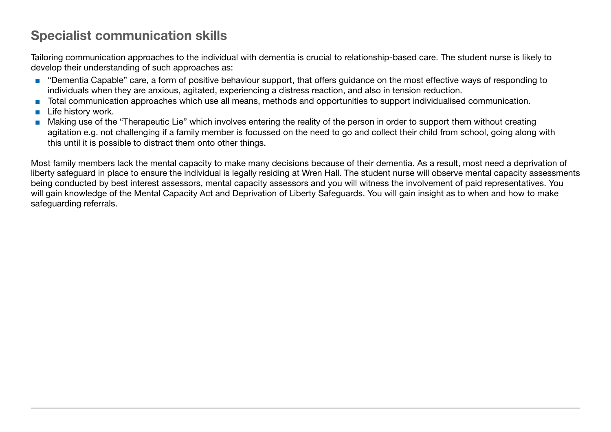# Specialist communication skills

Tailoring communication approaches to the individual with dementia is crucial to relationship-based care. The student nurse is likely to develop their understanding of such approaches as:

- "Dementia Capable" care, a form of positive behaviour support, that offers quidance on the most effective ways of responding to individuals when they are anxious, agitated, experiencing a distress reaction, and also in tension reduction.
- Total communication approaches which use all means, methods and opportunities to support individualised communication.
- Life history work.
- Making use of the "Therapeutic Lie" which involves entering the reality of the person in order to support them without creating agitation e.g. not challenging if a family member is focussed on the need to go and collect their child from school, going along with this until it is possible to distract them onto other things.

Most family members lack the mental capacity to make many decisions because of their dementia. As a result, most need a deprivation of liberty safeguard in place to ensure the individual is legally residing at Wren Hall. The student nurse will observe mental capacity assessments being conducted by best interest assessors, mental capacity assessors and you will witness the involvement of paid representatives. You will gain knowledge of the Mental Capacity Act and Deprivation of Liberty Safeguards. You will gain insight as to when and how to make safeguarding referrals.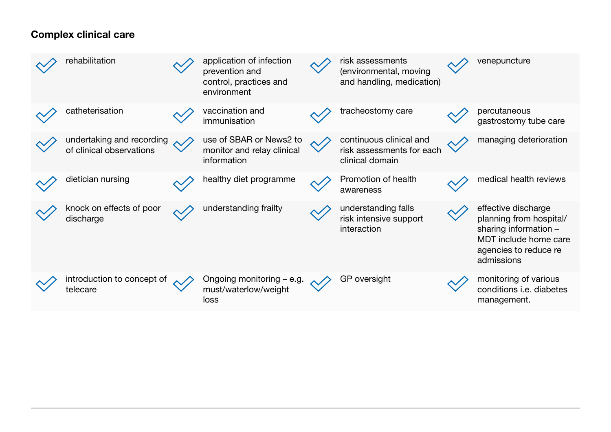# Complex clinical care

| rehabilitation                                        | application of infection<br>prevention and<br>control, practices and<br>environment | risk assessments<br>(environmental, moving<br>and handling, medication) | venepuncture                                                                                                                            |
|-------------------------------------------------------|-------------------------------------------------------------------------------------|-------------------------------------------------------------------------|-----------------------------------------------------------------------------------------------------------------------------------------|
| catheterisation                                       | vaccination and<br>immunisation                                                     | tracheostomy care                                                       | percutaneous<br>gastrostomy tube care                                                                                                   |
| undertaking and recording<br>of clinical observations | use of SBAR or News2 to<br>monitor and relay clinical<br>information                | continuous clinical and<br>risk assessments for each<br>clinical domain | managing deterioration                                                                                                                  |
| dietician nursing                                     | healthy diet programme                                                              | Promotion of health<br>awareness                                        | medical health reviews                                                                                                                  |
| knock on effects of poor<br>discharge                 | understanding frailty                                                               | understanding falls<br>risk intensive support<br>interaction            | effective discharge<br>planning from hospital/<br>sharing information -<br>MDT include home care<br>agencies to reduce re<br>admissions |
| introduction to concept of<br>telecare                | Ongoing monitoring – e.g.<br>must/waterlow/weight<br>loss                           | GP oversight                                                            | monitoring of various<br>conditions <i>i.e.</i> diabetes<br>management.                                                                 |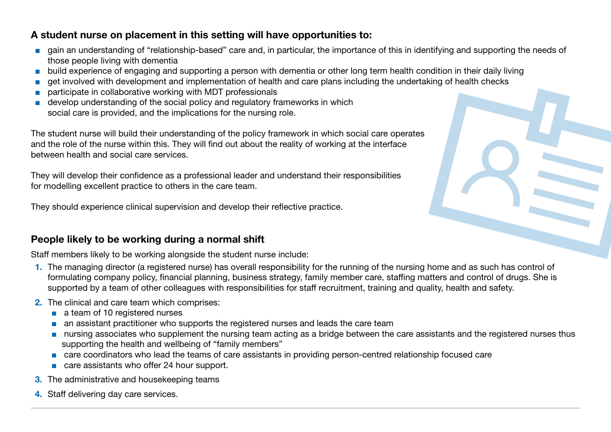## A student nurse on placement in this setting will have opportunities to:

- gain an understanding of "relationship-based" care and, in particular, the importance of this in identifying and supporting the needs of those people living with dementia
- build experience of engaging and supporting a person with dementia or other long term health condition in their daily living
- get involved with development and implementation of health and care plans including the undertaking of health checks
- participate in collaborative working with MDT professionals
- develop understanding of the social policy and regulatory frameworks in which social care is provided, and the implications for the nursing role.

The student nurse will build their understanding of the policy framework in which social care operates and the role of the nurse within this. They will find out about the reality of working at the interface between health and social care services.

They will develop their confidence as a professional leader and understand their responsibilities for modelling excellent practice to others in the care team.

They should experience clinical supervision and develop their reflective practice.

## People likely to be working during a normal shift

Staff members likely to be working alongside the student nurse include:

- 1. The managing director (a registered nurse) has overall responsibility for the running of the nursing home and as such has control of formulating company policy, financial planning, business strategy, family member care, staffing matters and control of drugs. She is supported by a team of other colleagues with responsibilities for staff recruitment, training and quality, health and safety.
- 2. The clinical and care team which comprises:
	- a team of 10 registered nurses
	- an assistant practitioner who supports the registered nurses and leads the care team
	- nursing associates who supplement the nursing team acting as a bridge between the care assistants and the registered nurses thus supporting the health and wellbeing of "family members"
	- care coordinators who lead the teams of care assistants in providing person-centred relationship focused care
	- care assistants who offer 24 hour support.
- **3.** The administrative and housekeeping teams
- 4. Staff delivering day care services.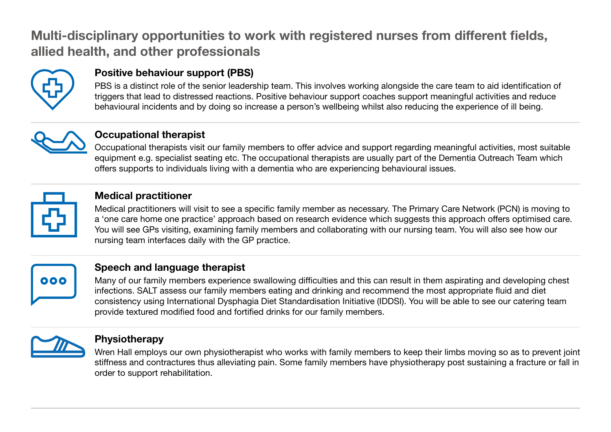# Multi-disciplinary opportunities to work with registered nurses from different fields, allied health, and other professionals



# Positive behaviour support (PBS)

PBS is a distinct role of the senior leadership team. This involves working alongside the care team to aid identification of triggers that lead to distressed reactions. Positive behaviour support coaches support meaningful activities and reduce behavioural incidents and by doing so increase a person's wellbeing whilst also reducing the experience of ill being.



## Occupational therapist

Occupational therapists visit our family members to offer advice and support regarding meaningful activities, most suitable equipment e.g. specialist seating etc. The occupational therapists are usually part of the Dementia Outreach Team which offers supports to individuals living with a dementia who are experiencing behavioural issues.



## Medical practitioner

Medical practitioners will visit to see a specific family member as necessary. The Primary Care Network (PCN) is moving to a 'one care home one practice' approach based on research evidence which suggests this approach offers optimised care. You will see GPs visiting, examining family members and collaborating with our nursing team. You will also see how our nursing team interfaces daily with the GP practice.



## Speech and language therapist

Many of our family members experience swallowing difficulties and this can result in them aspirating and developing chest infections. SALT assess our family members eating and drinking and recommend the most appropriate fluid and diet consistency using International Dysphagia Diet Standardisation Initiative (IDDSI). You will be able to see our catering team provide textured modified food and fortified drinks for our family members.



## Physiotherapy

Wren Hall employs our own physiotherapist who works with family members to keep their limbs moving so as to prevent joint stiffness and contractures thus alleviating pain. Some family members have physiotherapy post sustaining a fracture or fall in order to support rehabilitation.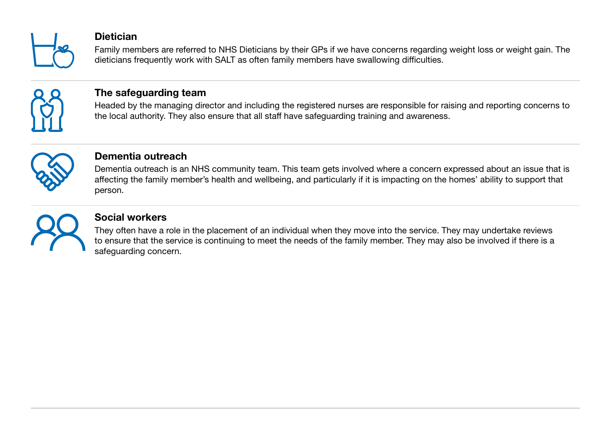

### **Dietician**

Family members are referred to NHS Dieticians by their GPs if we have concerns regarding weight loss or weight gain. The dieticians frequently work with SALT as often family members have swallowing difficulties.



## The safeguarding team

Headed by the managing director and including the registered nurses are responsible for raising and reporting concerns to the local authority. They also ensure that all staff have safeguarding training and awareness.



### Dementia outreach

Dementia outreach is an NHS community team. This team gets involved where a concern expressed about an issue that is affecting the family member's health and wellbeing, and particularly if it is impacting on the homes' ability to support that person.



## Social workers

They often have a role in the placement of an individual when they move into the service. They may undertake reviews to ensure that the service is continuing to meet the needs of the family member. They may also be involved if there is a safeguarding concern.